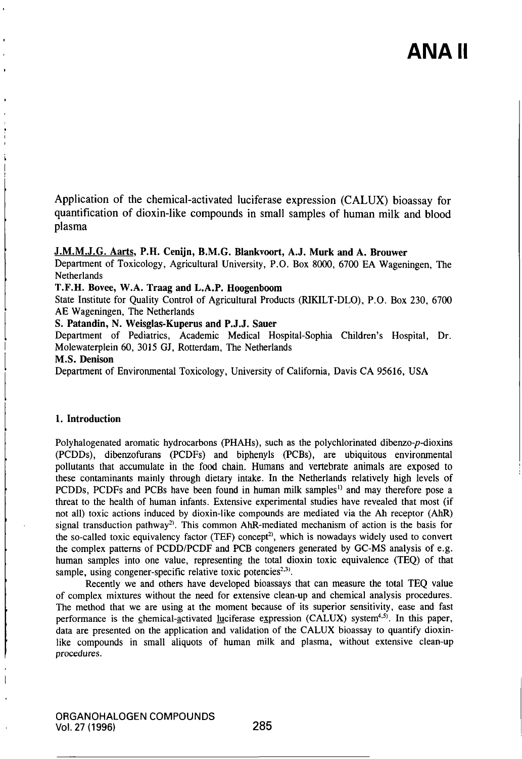# ANA II

Application of the chemical-activated luciferase expression (CALUX) bioassay for quantification of dioxin-like compounds in small samples of human milk and blood plasma

# J.M.M.J.G. Aarts, P.H. Cenijn, B.M.G. Blankvoort, A.J. Murk and A. Brouwer

Department of Toxicology, Agricultural University, P.O. Box 8000, 6700 EA Wageningen, The **Netherlands** 

T.F.H. Bovee, W.A. Traag and L.A.P. Hoogenboom

State Institute for Quality Control of Agricultural Producis (RIKILT-DLO), P.O. Box 230, 6700 AE Wageningen, The Netherlands

S. Patandin, N. Weisglas-Kuperus and P.J.J. Sauer

Department of Pediatrics, Academic Medical Hospital-Sophia Children's Hospital, Dr. Molewalerplein 60, 3015 GJ, Rotterdam, The Netherlands

# M.S. Denison

Depariment of Environmental Toxicology, University of Califomia, Davis CA 95616, USA

## 1. Introduction

Polyhalogenated aromatic hydrocarbons (PHAHs), such as the polychlorinated dibenzo-p-dioxins (PCDDs), dibenzofurans (PCDFs) and biphenyls (PCBs), are ubiquitous environmenlal pollutants that accumulate in the food chain. Humans and vertebrate animals are exposed lo these contaminants mainly through dietary intake. In the Netherlands relatively high levels of PCDDs, PCDFs and PCBs have been found in human milk samples" and may therefore pose a threat to the health of human infants. Extensive experimental smdies have revealed that most (if not all) toxic actions induced by dioxin-like compounds are mediated via the Ah recepior (AhR) signal transduction pathway<sup>2)</sup>. This common AhR-mediated mechanism of action is the basis for the so-called toxic equivalency factor (TEF) concept<sup>2)</sup>, which is nowadays widely used to convert the complex pattems of PCDD/PCDF and PCB congeners generated by GC-MS analysis of e.g. human samples into one value, representing the total dioxin toxic equivalence (TEQ) of that sample, using congener-specific relative toxic potencies $2,3$ .

Recently we and others have developed bioassays that can measure the total TEQ value of complex mixtures without the need for extensive clean-up and chemical analysis procedures. The method that we are using at the moment because of its superior sensitivity, ease and fast performance is the chemical-activated luciferase expression (CALUX) system<sup>4.5)</sup>. In this paper, data are presented on the application and validation of the CALUX bioassay to quantify dioxinlike compounds in small aliquots of human milk and plasma, without extensive clean-up procedures.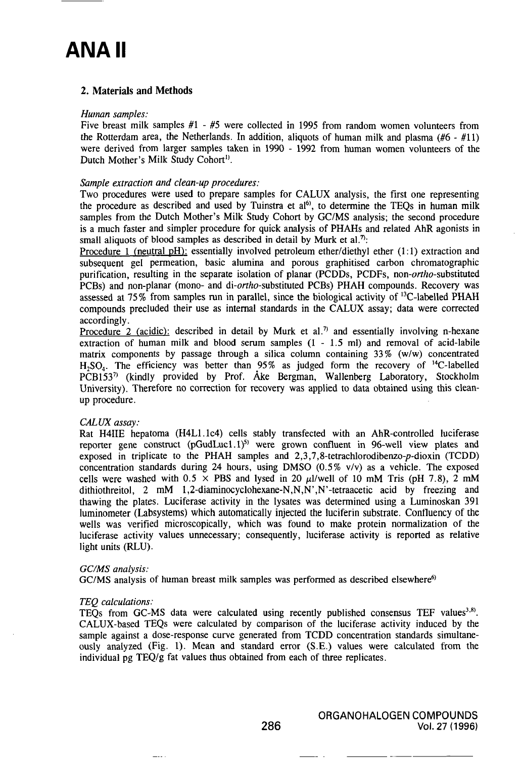# **ANA II**

# 2. Materials and Methods

#### Human samples:

Five breast milk samples #1 - #5 were collected in 1995 from random women volunteers from the Rotterdam area, the Netherlands. In addition, aliquots of human milk and plasma ( $#6 - #11$ ) were derived from larger samples taken in 1990 - 1992 from human women volunteers of the Dutch Mother's Milk Study Cohort<sup>1)</sup>.

# Sample extraction and clean-up procedures:

Two procedures were used to prepare samples for CALUX analysis, the first one representing the procedure as described and used by Tuinstra et  $aI^{(6)}$ , to determine the TEQs in human milk samples from the Dutch Mother's Milk Study Cohort by GC/MS analysis; the second procedure is a much faster and simpler procedure for quick analysis of PHAHs and related AhR agonists in small aliquots of blood samples as described in detail by Murk et al.<sup>7</sup>:

Procedure 1 (neutral pH): essentially involved petroleum ether/diethyl ether  $(1:1)$  extraction and subsequent gel permeation, basic alumina and porous graphitised carbon chromatographic purification, resulting in the separate isolation of planar (PCDDs, PCDFs, non-*ortho*-substituted PCBs) and non-planar (mono- and di-ortho-substituted PCBs) PHAH compounds. Recovery was assessed at 75% from samples run in parallel, since the biological activity of  $^{13}$ C-labelled PHAH compounds precluded their use as intemal standards in the CALUX assay; data were corrected accordingly.

Procedure 2 (acidic): described in detail by Murk et al.<sup>7)</sup> and essentially involving n-hexane extraction of human milk and blood serum samples  $(1 - 1.5 \text{ ml})$  and removal of acid-labile matrix components by passage through a silica column containing 33% (w/w) concentrated H<sub>2</sub>SO<sub>4</sub>. The efficiency was better than 95% as judged form the recovery of <sup>14</sup>C-labelled PCB153<sup>7</sup> (kindly provided by Prof. Ake Bergman, Wallenberg Laboratory, Stockholm University). Therefore no correction for recovery was applied to data obtained using this cleanup procedure.

# CALUX assay:

Rat H4IIE hepatoma (H4Ll.lc4) cells stably transfected with an AhR-controlled luciferase reporter gene construct (pGudLuc1.1)<sup>5)</sup> were grown confluent in 96-well view plates and exposed in triplicate to the PHAH samples and  $2,3,7,8$ -tetrachlorodibenzo- $p$ -dioxin (TCDD) concentration standards during 24 hours, using DMSO (0.5% v/v) as a vehicle. The exposed cells were washed with  $0.5 \times$  PBS and lysed in 20  $\mu$ l/well of 10 mM Tris (pH 7.8), 2 mM dithiothreitol, 2 mM 1,2-diaminocyclohexane-N,N,N',N'-tetraacetic acid by freezing and thawing the plales. Luciferase activity in the lysates was determined using a Luminoskan 391 luminometer (Labsystems) which automatically injected the luciferin substrate. Confluency of the wells was verified microscopically, which was found to make protein normalization of the luciferase activity values unnecessary; consequently, luciferase activity is reported as relative light units (RLU).

#### GC/MS analysis:

GC/MS analysis of human breast milk samples was performed as described elsewhere<sup>6)</sup>

#### TEQ calculations:

TEQs from GC-MS data were calculated using recently published consensus TEF values $^{3,8}$ . CALUX-based TEQs were calculated by comparison of the luciferase activity induced by the sample against a dose-response curve generated from TCDD concentration standards simultaneously analyzed (Fig. 1). Mean and standard error (S.E.) values were calculated from the individual pg TEQ/g fat values thus obtained from each of three replicates.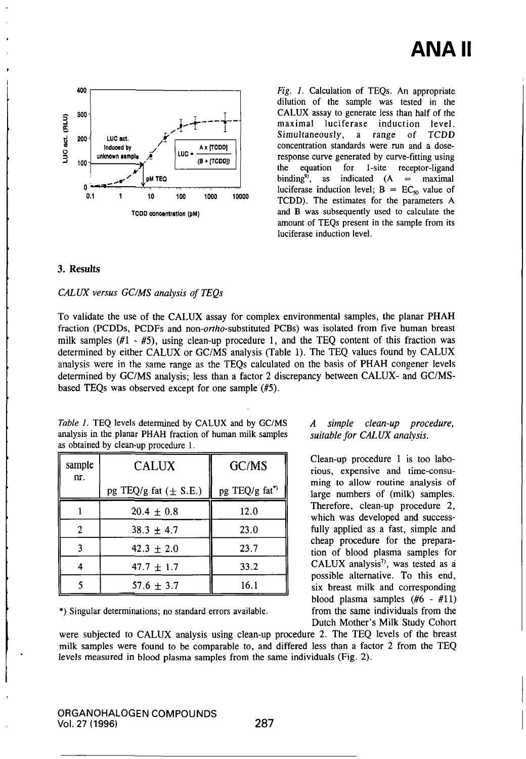

Fig. 1. Calculation of TEQs. An appropriate dilution of the sample was tested in the CALUX assay to generate less than half of the maximal luciferase induction level.<br>Simultaneously, a range of TCDD a range of concentration standards were run and a doseresponse curve generated by curve-fitting using the equation for 1-site receptor-ligand binding<sup>9</sup>, as indicated  $(A = maximal$ luciferase induction level;  $B = EC_{\varphi}$  value of TCDD). The estimates for the parameters A and B was subsequently used to calculate the amount of TEQs present in the sample from its luciferase induction level.

# 3. Results

#### CALUX versus GC/MS analysis of TEQs

To validate the use of the CALUX assay for complex environmental samples, the planar PHAH fraction (PCDDs, PCDFs and non-ortho-substituted PCBs) was isolated from five human breast milk samples  $(H - H)$ , using clean-up procedure 1, and the TEQ content of this fraction was determined by either CALUX or GC/MS analysis (Table 1). The TEQ values found by CALUX analysis were in the same range as the TEQs calculated on the basis of PHAH congener levels determined by GC/MS analysis; less than a faclor 2 discrepancy belween CALUX- and GC/MSbased TEQs was observed except for one sample (#5).

| Table 1. TEQ levels determined by CALUX and by GC/MS       |
|------------------------------------------------------------|
| analysis in the planar PHAH fraction of human milk samples |
| as obtained by clean-up procedure 1.                       |

| sample<br>nr. | <b>CALUX</b>              | GC/MS          |
|---------------|---------------------------|----------------|
|               | pg TEQ/g fat $(\pm$ S.E.) | pg TEQ/g fat*) |
|               | $20.4 \pm 0.8$            | 12.0           |
| 2             | $38.3 \pm 4.7$            | 23.0           |
|               | $42.3 + 2.0$              | 23.7           |
|               | $47.7 \pm 1.7$            | 33.2           |
|               | $57.6 \pm 3.7$            | 16.1           |

\*) Singular determinations; no standard errors available.

## A simple clean-up procedure, suitable for CALUX analysis.

Clean-up procedure 1 is too laborious, expensive and time-consuming to allow routine analysis of large numbers of (milk) samples. Therefore, clean-up procedure 2, which was developed and successfully applied as a fast, simple and cheap procedure for the preparation of blood plasma samples for CALUX analysis<sup>7</sup>, was tested as a possible alternative. To this end, six breast milk and corresponding blood plasma samples (#6 - #11) from the same individuals from the Dutch Mother's Milk Study Cohort

were subjected to CALUX analysis using clean-up procedure 2. The TEQ levels of the breast milk samples were found to be comparable to, and differed less than a factor 2 from the TEQ levels measured in blood plasma samples from the same individuals (Fig. 2).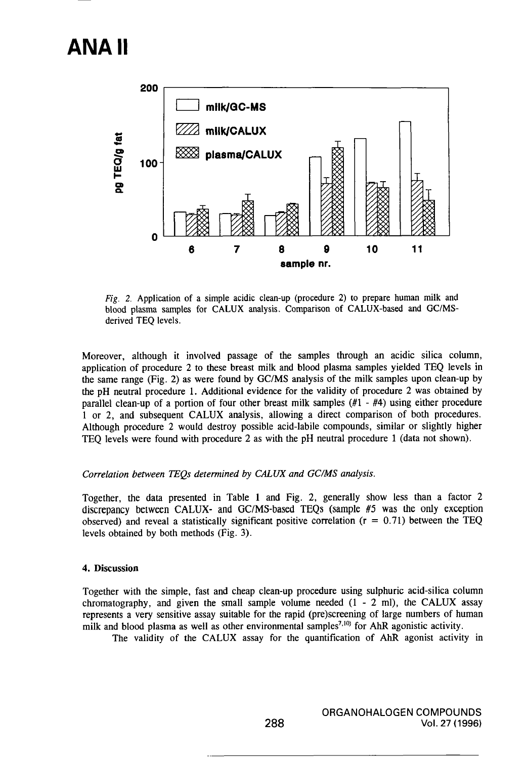# **ANAII**



Fig. 2. Application of a simple acidic clean-up (procedure 2) to prepare human milk and blood plasma samples for CALUX analysis. Comparison of CALUX-based and GC/MSderived TEQ levels.

Moreover, although it involved passage of the samples through an acidic silica column, application of procedure 2 to these breast milk and blood plasma samples yielded TEQ levels in the same range (Fig. 2) as were found by GC/MS analysis of the milk samples upon clean-up by the pH neutral procedure 1. Additional evidence for the validity of procedure 2 was obtained by parallel clean-up of a portion of four other breast milk samples (#1 - #4) using either procedure 1 or 2, and subsequent CALUX analysis, allowing a direct comparison of both procedures. Although procedure 2 would destroy possible acid-labile compounds, similar or slightly higher TEQ levels were found with procedure 2 as with the pH neutral procedure 1 (data not shown).

# Correlation between TEQs determined by CALUX and GC/MS analysis.

Together, the data presented in Table 1 and Fig. 2, generally show less than a factor 2 discrepancy belween CALUX- and GC/MS-based TEQs (sample #5 was the only exception observed) and reveal a statistically significant positive correlation  $(r = 0.71)$  between the TEQ levels obtained by both methods (Fig. 3).

#### 4. Discussion

Together with the simple, fast and cheap clean-up procedure using sulphuric acid-silica column chromatography, and given the small sample volume needed  $(1 - 2$  ml), the CALUX assay represents a very sensitive assay suitable for the rapid (pre)screening of large numbers of human milk and blood plasma as well as other environmental samples<sup>7,10)</sup> for AhR agonistic activity.

The validity of the CALUX assay for the quantification of AhR agonist activity in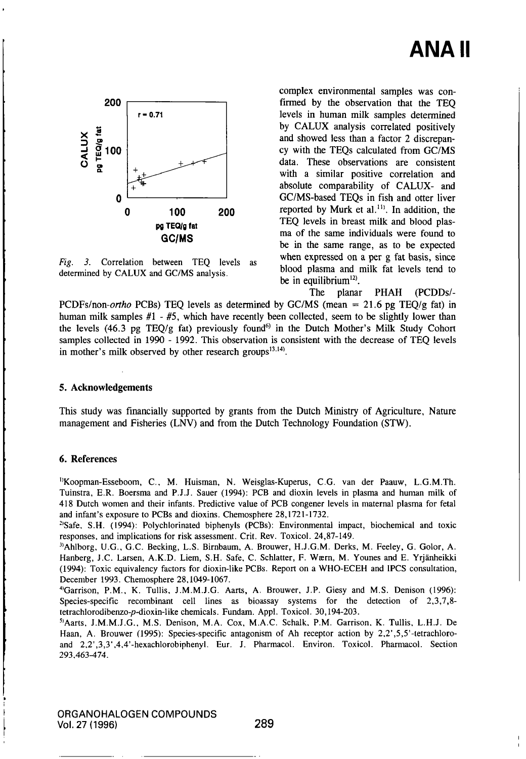

Fig. 3. Correlation between TEQ levels as determined by CALUX and GC/MS analysis.

complex environmental samples was confirmed by the observation that the TEQ levels in human milk samples determined by CALUX analysis correlated positively and showed less than a factor 2 discrepancy with the TEQs calculated from GC/MS data. These observations are consistent with a similar positive correlation and absolute comparability of CALUX- and GC/MS-based TEQs in fish and otter liver reported by Murk et al.<sup>11)</sup>. In addition, the TEQ levels in breast milk and blood plasma of the same individuals were found to be in the same range, as to be expected when expressed on a per g fat basis, since blood plasma and milk fat levels tend to be in equilibrium $^{12}$ .

The planar PHAH (PCDDs/- PCDFs/non-ortho PCBs) TEO levels as determined by GC/MS (mean = 21.6 pg TEO/g fat) in human milk samples  $#1 - #5$ , which have recently been collected, seem to be slightly lower than the levels (46.3 pg TEQ/g fat) previously found<sup>6)</sup> in the Dutch Mother's Milk Study Cohort samples collected in 1990 - 1992. This observation is consistent with the decrease of TEQ levels in mother's milk observed by other research groups $^{13,14}$ .

# 5. Acknowledgements

This study was financially supported by grants from the Dutch Ministry of Agriculture, Nature management and Fisheries (LNV) and from the Dutch Technology Foundation (STW).

## 6. References

<sup>1</sup>Koopman-Esseboom, C., M. Huisman, N. Weisglas-Kuperus, C.G. van der Paauw, L.G.M.Th. Tuinstra, E.R. Boersma and P.J.J. Sauer (1994): PCB and dioxin levels in plasma and human milk of 418 Dutch women and their infants. Predictive value of PCB congener levels in maternal plasma for fetal and infant's exposure to PCBs and dioxins. Chemosphere 28,1721-1732.

<sup>2)</sup>Safe, S.H. (1994): Polychlorinated biphenyls (PCBs): Environmental impact, biochemical and toxic responses, and implications for risk assessment. Crit. Rev. Toxicol. 24,87-149.

<sup>3)</sup>Ahlborg, U.G., G.C. Becking, L.S. Birnbaum, A. Brouwer, H.J.G.M. Derks, M. Feeley, G. Golor, A. Hanberg, J.C. Larsen, A.K.D. Liem, S.H. Safe, C. Schlatter, F. Wsern, M. Younes and E. Yrjanheikki (1994): Toxic equivalency factors for dioxin-like PCBs. Report on a WHO-ECEH and IPCS consultation, December 1993. Chemosphere 28,1049-1067.

•"Garrison, P.M., K. Tullis. J.M.M.J.G. Aarts, A. Brouwer, J.P. Giesy and M.S. Denison (1996): Species-specific recombinant cell lines as bioassay systems for the detection of 2,3,7,8 tetrachlorodibenzo-p-dioxin-like chemicals. Fundam. Appl. Toxicol. 30,194-203.

<sup>5</sup>/Aarts, J.M.M.J.G., M.S. Denison, M.A. Cox, M.A.C. Schalk, P.M. Garrison, K. Tullis, L.H.J. De Haan, A. Brouwer (1995): Species-specific antagonism of Ah receptor action by 2,2',5,5'-tetrachloroand 2,2',3,3',4,4'-hexachlorobiphenyl. Eur. J. Pharmacol. Environ. Toxicol. Pharmacol. Section 293.463-474.

ORGANOHALOGEN COMPOUNDS Vol. 27 (1996) 289